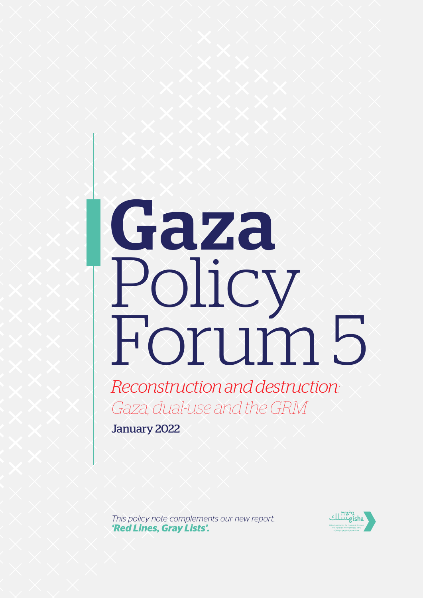# Gaza Policy Forum 5

*Reconstruction and destruction: Gaza, dual-use and the GRM*

January 2022

*This policy note complements our new report, ['Red Lines, Gray Lists'](https://features.gisha.org/red-lines-gray-lists/).* 

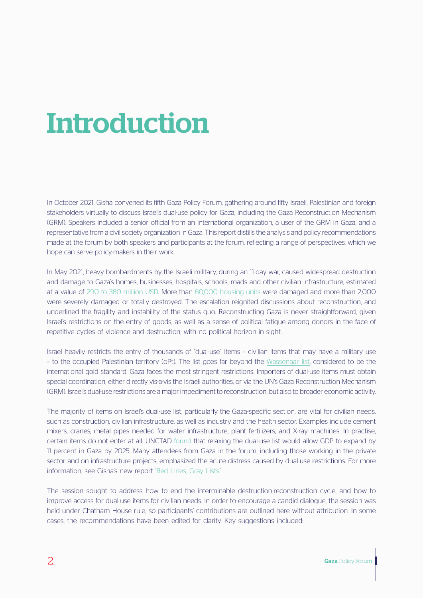## Introduction

In October 2021, Gisha convened its fifth Gaza Policy Forum, gathering around fifty Israeli, Palestinian and foreign stakeholders virtually to discuss Israel's dual-use policy for Gaza, including the Gaza Reconstruction Mechanism (GRM). Speakers included a senior official from an international organization, a user of the GRM in Gaza, and a representative from a civil society organization in Gaza. This report distills the analysis and policy recommendations made at the forum by both speakers and participants at the forum, reflecting a range of perspectives, which we hope can serve policy-makers in their work.

In May 2021, heavy bombardments by the Israeli military, during an 11-day war, caused widespread destruction and damage to Gaza's homes, businesses, hospitals, schools, roads and other civilian infrastructure, estimated at a value of [290 to 380 million USD.](https://documents1.worldbank.org/curated/en/178021624889455367/pdf/Gaza-Rapid-Damage-and-Needs-Assessment.pdf) More than [60,000 housing units](https://www.sheltercluster.org/sites/default/files/docs/dashboard_0.pdf) were damaged and more than 2,000 were severely damaged or totally destroyed. The escalation reignited discussions about reconstruction, and underlined the fragility and instability of the status quo. Reconstructing Gaza is never straightforward, given Israel's restrictions on the entry of goods, as well as a sense of political fatigue among donors in the face of repetitive cycles of violence and destruction, with no political horizon in sight.

Israel heavily restricts the entry of thousands of "dual-use" items – civilian items that may have a military use – to the occupied Palestinian territory (oPt). The list goes far beyond the [Wassenaar list,](https://www.wassenaar.org/app/uploads/2020/12/Public-Docs-Vol-II-2020-List-of-DU-Goods-and-Technologies-and-Munitions-List-Dec-20-3.pdf) considered to be the international gold standard. Gaza faces the most stringent restrictions. Importers of dual-use items must obtain special coordination, either directly vis-a-vis the Israeli authorities, or via the UN's Gaza Reconstruction Mechanism (GRM). Israel's dual-use restrictions are a major impediment to reconstruction, but also to broader economic activity.

The majority of items on Israel's dual-use list, particularly the Gaza-specific section, are vital for civilian needs, such as construction, civilian infrastructure, as well as industry and the health sector. Examples include cement mixers, cranes, metal pipes needed for water infrastructure, plant fertilizers, and X-ray machines. In practise, certain items do not enter at all. UNCTAD [found](https://unctad.org/system/files/official-document/tdb67_d5_en.pdf) that relaxing the dual-use list would allow GDP to expand by 11 percent in Gaza by 2025. Many attendees from Gaza in the forum, including those working in the private sector and on infrastructure projects, emphasized the acute distress caused by dual-use restrictions. For more information, see Gisha's new report ['Red Lines, Gray Lists.](https://features.gisha.org/red-lines-gray-lists/)'

The session sought to address how to end the interminable destruction-reconstruction cycle, and how to improve access for dual-use items for civilian needs. In order to encourage a candid dialogue, the session was held under Chatham House rule, so participants' contributions are outlined here without attribution. In some cases, the recommendations have been edited for clarity. Key suggestions included: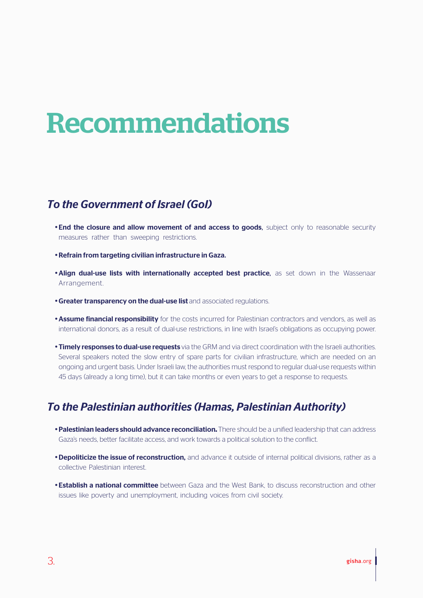## Recommendations

#### *To the Government of Israel (GoI)*

- End the closure and allow movement of and access to goods. subject only to reasonable security measures rather than sweeping restrictions.
- · Refrain from targeting civilian infrastructure in Gaza.
- . Align dual-use lists with internationally accepted best practice, as set down in the Wassenaar Arrangement.
- **Greater transparency on the dual-use list** and associated regulations.
- **Assume financial responsibility** for the costs incurred for Palestinian contractors and vendors, as well as international donors, as a result of dual-use restrictions, in line with Israel's obligations as occupying power.
- **Timely responses to dual-use requests** via the GRM and via direct coordination with the Israeli authorities. Several speakers noted the slow entry of spare parts for civilian infrastructure, which are needed on an ongoing and urgent basis. Under Israeli law, the authorities must respond to regular dual-use requests within 45 days (already a long time), but it can take months or even years to get a response to requests.

#### *To the Palestinian authorities (Hamas, Palestinian Authority)*

- · Palestinian leaders should advance reconciliation**.** There should be a unified leadership that can address Gaza's needs, better facilitate access, and work towards a political solution to the conflict.
- **Depoliticize the issue of reconstruction,** and advance it outside of internal political divisions, rather as a collective Palestinian interest.
- **· Establish a national committee** between Gaza and the West Bank, to discuss reconstruction and other issues like poverty and unemployment, including voices from civil society.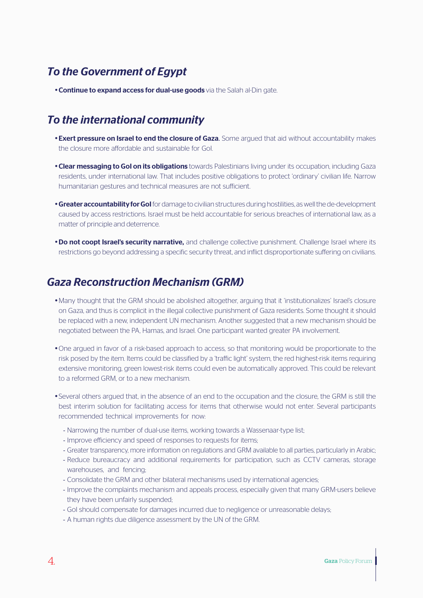#### *To the Government of Egypt*

**• Continue to expand access for dual-use goods** via the Salah al-Din gate.

#### *To the international community*

- **· Exert pressure on Israel to end the closure of Gaza.** Some argued that aid without accountability makes the closure more affordable and sustainable for GoI.
- Clear messaging to Gol on its obligations towards Palestinians living under its occupation, including Gaza residents, under international law. That includes positive obligations to protect 'ordinary' civilian life. Narrow humanitarian gestures and technical measures are not sufficient.
- **Greater accountability for GoI** for damage to civilian structures during hostilities, as well the de-development caused by access restrictions. Israel must be held accountable for serious breaches of international law, as a matter of principle and deterrence.
- **· Do not coopt Israel's security narrative,** and challenge collective punishment. Challenge Israel where its restrictions go beyond addressing a specific security threat, and inflict disproportionate suffering on civilians.

#### *Gaza Reconstruction Mechanism (GRM)*

- Many thought that the GRM should be abolished altogether, arguing that it 'institutionalizes' Israel's closure on Gaza, and thus is complicit in the illegal collective punishment of Gaza residents. Some thought it should be replaced with a new, independent UN mechanism. Another suggested that a new mechanism should be negotiated between the PA, Hamas, and Israel. One participant wanted greater PA involvement.
- One argued in favor of a risk-based approach to access, so that monitoring would be proportionate to the risk posed by the item. Items could be classified by a 'traffic light' system, the red highest-risk items requiring extensive monitoring, green lowest-risk items could even be automatically approved. This could be relevant to a reformed GRM, or to a new mechanism.
- · Several others argued that, in the absence of an end to the occupation and the closure, the GRM is still the best interim solution for facilitating access for items that otherwise would not enter. Several participants recommended technical improvements for now:
	- Narrowing the number of dual-use items, working towards a Wassenaar-type list;
	- Improve efficiency and speed of responses to requests for items;
	- Greater transparency, more information on regulations and GRM available to all parties, particularly in Arabic;
	- Reduce bureaucracy and additional requirements for participation, such as CCTV cameras, storage warehouses, and fencing;
	- Consolidate the GRM and other bilateral mechanisms used by international agencies;
	- Improve the complaints mechanism and appeals process, especially given that many GRM-users believe they have been unfairly suspended;
	- GoI should compensate for damages incurred due to negligence or unreasonable delays;
	- A human rights due diligence assessment by the UN of the GRM.